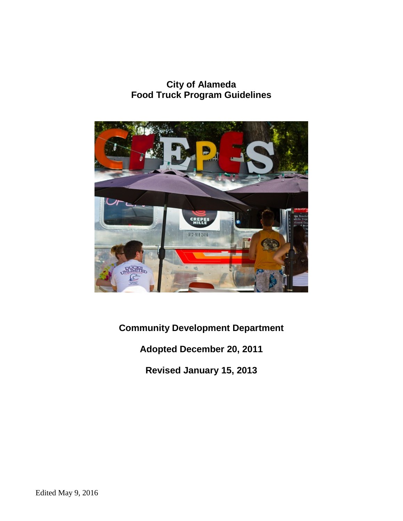# **City of Alameda Food Truck Program Guidelines**



**Community Development Department**

**Adopted December 20, 2011**

**Revised January 15, 2013**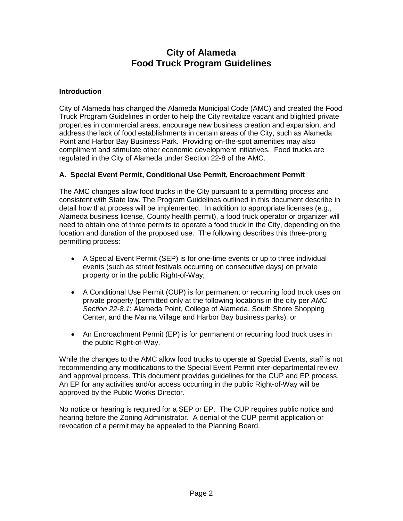## **City of Alameda Food Truck Program Guidelines**

#### **Introduction**

City of Alameda has changed the Alameda Municipal Code (AMC) and created the Food Truck Program Guidelines in order to help the City revitalize vacant and blighted private properties in commercial areas, encourage new business creation and expansion, and address the lack of food establishments in certain areas of the City, such as Alameda Point and Harbor Bay Business Park. Providing on-the-spot amenities may also compliment and stimulate other economic development initiatives. Food trucks are regulated in the City of Alameda under Section 22-8 of the AMC.

## **A. Special Event Permit, Conditional Use Permit, Encroachment Permit**

The AMC changes allow food trucks in the City pursuant to a permitting process and consistent with State law. The Program Guidelines outlined in this document describe in detail how that process will be implemented. In addition to appropriate licenses (e.g., Alameda business license, County health permit), a food truck operator or organizer will need to obtain one of three permits to operate a food truck in the City, depending on the location and duration of the proposed use. The following describes this three-prong permitting process:

- A Special Event Permit (SEP) is for one-time events or up to three individual events (such as street festivals occurring on consecutive days) on private property or in the public Right-of-Way;
- A Conditional Use Permit (CUP) is for permanent or recurring food truck uses on private property (permitted only at the following locations in the city per *AMC Section 22-8.1*: Alameda Point, College of Alameda, South Shore Shopping Center, and the Marina Village and Harbor Bay business parks); or
- An Encroachment Permit (EP) is for permanent or recurring food truck uses in the public Right-of-Way.

While the changes to the AMC allow food trucks to operate at Special Events, staff is not recommending any modifications to the Special Event Permit inter-departmental review and approval process. This document provides guidelines for the CUP and EP process. An EP for any activities and/or access occurring in the public Right-of-Way will be approved by the Public Works Director.

No notice or hearing is required for a SEP or EP. The CUP requires public notice and hearing before the Zoning Administrator. A denial of the CUP permit application or revocation of a permit may be appealed to the Planning Board.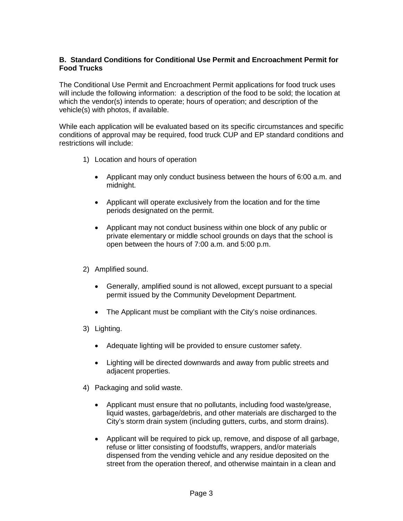### **B. Standard Conditions for Conditional Use Permit and Encroachment Permit for Food Trucks**

The Conditional Use Permit and Encroachment Permit applications for food truck uses will include the following information: a description of the food to be sold; the location at which the vendor(s) intends to operate; hours of operation; and description of the vehicle(s) with photos, if available.

While each application will be evaluated based on its specific circumstances and specific conditions of approval may be required, food truck CUP and EP standard conditions and restrictions will include:

- 1) Location and hours of operation
	- Applicant may only conduct business between the hours of 6:00 a.m. and midnight.
	- Applicant will operate exclusively from the location and for the time periods designated on the permit.
	- Applicant may not conduct business within one block of any public or private elementary or middle school grounds on days that the school is open between the hours of 7:00 a.m. and 5:00 p.m.
- 2) Amplified sound.
	- Generally, amplified sound is not allowed, except pursuant to a special permit issued by the Community Development Department.
	- The Applicant must be compliant with the City's noise ordinances.
- 3) Lighting.
	- Adequate lighting will be provided to ensure customer safety.
	- Lighting will be directed downwards and away from public streets and adjacent properties.
- 4) Packaging and solid waste.
	- Applicant must ensure that no pollutants, including food waste/grease, liquid wastes, garbage/debris, and other materials are discharged to the City's storm drain system (including gutters, curbs, and storm drains).
	- Applicant will be required to pick up, remove, and dispose of all garbage, refuse or litter consisting of foodstuffs, wrappers, and/or materials dispensed from the vending vehicle and any residue deposited on the street from the operation thereof, and otherwise maintain in a clean and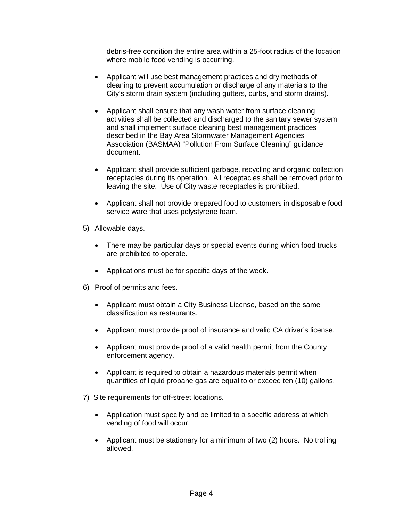debris-free condition the entire area within a 25-foot radius of the location where mobile food vending is occurring.

- Applicant will use best management practices and dry methods of cleaning to prevent accumulation or discharge of any materials to the City's storm drain system (including gutters, curbs, and storm drains).
- Applicant shall ensure that any wash water from surface cleaning activities shall be collected and discharged to the sanitary sewer system and shall implement surface cleaning best management practices described in the Bay Area Stormwater Management Agencies Association (BASMAA) "Pollution From Surface Cleaning" guidance document.
- Applicant shall provide sufficient garbage, recycling and organic collection receptacles during its operation. All receptacles shall be removed prior to leaving the site. Use of City waste receptacles is prohibited.
- Applicant shall not provide prepared food to customers in disposable food service ware that uses polystyrene foam.
- 5) Allowable days.
	- There may be particular days or special events during which food trucks are prohibited to operate.
	- Applications must be for specific days of the week.
- 6) Proof of permits and fees.
	- Applicant must obtain a City Business License, based on the same classification as restaurants.
	- Applicant must provide proof of insurance and valid CA driver's license.
	- Applicant must provide proof of a valid health permit from the County enforcement agency.
	- Applicant is required to obtain a hazardous materials permit when quantities of liquid propane gas are equal to or exceed ten (10) gallons.
- 7) Site requirements for off-street locations.
	- Application must specify and be limited to a specific address at which vending of food will occur.
	- Applicant must be stationary for a minimum of two (2) hours. No trolling allowed.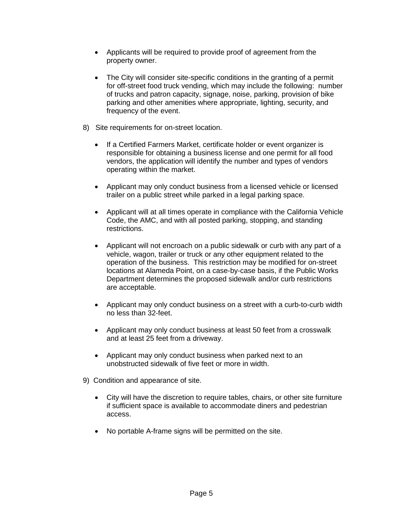- Applicants will be required to provide proof of agreement from the property owner.
- The City will consider site-specific conditions in the granting of a permit for off-street food truck vending, which may include the following: number of trucks and patron capacity, signage, noise, parking, provision of bike parking and other amenities where appropriate, lighting, security, and frequency of the event.
- 8) Site requirements for on-street location.
	- If a Certified Farmers Market, certificate holder or event organizer is responsible for obtaining a business license and one permit for all food vendors, the application will identify the number and types of vendors operating within the market.
	- Applicant may only conduct business from a licensed vehicle or licensed trailer on a public street while parked in a legal parking space.
	- Applicant will at all times operate in compliance with the California Vehicle Code, the AMC, and with all posted parking, stopping, and standing restrictions.
	- Applicant will not encroach on a public sidewalk or curb with any part of a vehicle, wagon, trailer or truck or any other equipment related to the operation of the business. This restriction may be modified for on-street locations at Alameda Point, on a case-by-case basis, if the Public Works Department determines the proposed sidewalk and/or curb restrictions are acceptable.
	- Applicant may only conduct business on a street with a curb-to-curb width no less than 32-feet.
	- Applicant may only conduct business at least 50 feet from a crosswalk and at least 25 feet from a driveway.
	- Applicant may only conduct business when parked next to an unobstructed sidewalk of five feet or more in width.
- 9) Condition and appearance of site.
	- City will have the discretion to require tables, chairs, or other site furniture if sufficient space is available to accommodate diners and pedestrian access.
	- No portable A-frame signs will be permitted on the site.